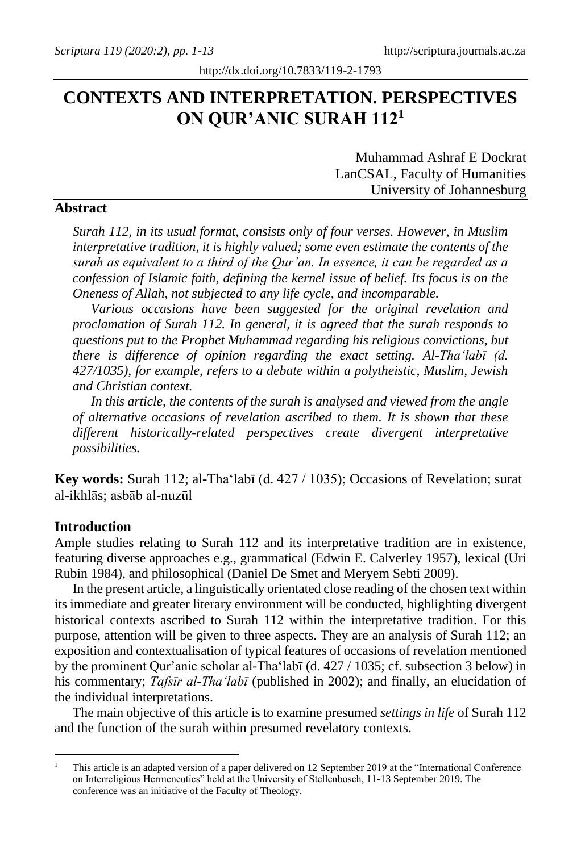# **CONTEXTS AND INTERPRETATION. PERSPECTIVES ON QUR'ANIC SURAH 112<sup>1</sup>**

Muhammad Ashraf E Dockrat LanCSAL, Faculty of Humanities University of Johannesburg

### **Abstract**

*Surah 112, in its usual format, consists only of four verses. However, in Muslim interpretative tradition, it is highly valued; some even estimate the contents of the surah as equivalent to a third of the Qur'an. In essence, it can be regarded as a confession of Islamic faith, defining the kernel issue of belief. Its focus is on the Oneness of Allah, not subjected to any life cycle, and incomparable.*

*Various occasions have been suggested for the original revelation and proclamation of Surah 112. In general, it is agreed that the surah responds to questions put to the Prophet Muhammad regarding his religious convictions, but there is difference of opinion regarding the exact setting. Al-Tha'labī (d. 427/1035), for example, refers to a debate within a polytheistic, Muslim, Jewish and Christian context.* 

*In this article, the contents of the surah is analysed and viewed from the angle of alternative occasions of revelation ascribed to them. It is shown that these different historically-related perspectives create divergent interpretative possibilities.*

**Key words:** Surah 112; al-Tha'labī (d. 427 / 1035); Occasions of Revelation; surat al-ikhlās; asbāb al-nuzūl

#### **Introduction**

Ample studies relating to Surah 112 and its interpretative tradition are in existence, featuring diverse approaches e.g., grammatical (Edwin E. Calverley 1957), lexical (Uri Rubin 1984), and philosophical (Daniel De Smet and Meryem Sebti 2009).

In the present article, a linguistically orientated close reading of the chosen text within its immediate and greater literary environment will be conducted, highlighting divergent historical contexts ascribed to Surah 112 within the interpretative tradition. For this purpose, attention will be given to three aspects. They are an analysis of Surah 112; an exposition and contextualisation of typical features of occasions of revelation mentioned by the prominent Qur'anic scholar al-Tha'labī (d. 427 / 1035; cf. subsection 3 below) in his commentary; *Tafsīr al-Tha'labī* (published in 2002); and finally, an elucidation of the individual interpretations.

The main objective of this article is to examine presumed *settings in life* of Surah 112 and the function of the surah within presumed revelatory contexts.

<sup>&</sup>lt;sup>1</sup> This article is an adapted version of a paper delivered on 12 September 2019 at the "International Conference" on Interreligious Hermeneutics" held at the University of Stellenbosch, 11-13 September 2019. The conference was an initiative of the Faculty of Theology.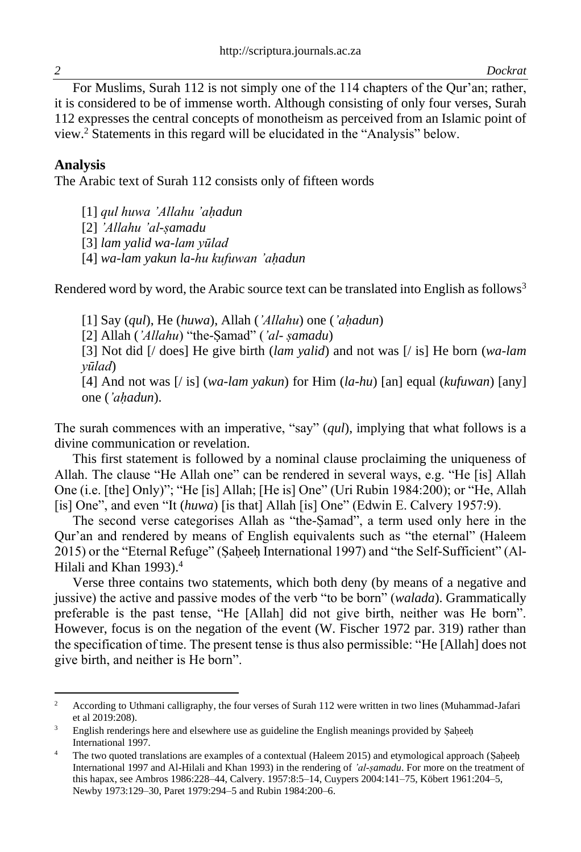For Muslims, Surah 112 is not simply one of the 114 chapters of the Qur'an; rather, it is considered to be of immense worth. Although consisting of only four verses, Surah 112 expresses the central concepts of monotheism as perceived from an Islamic point of view.<sup>2</sup> Statements in this regard will be elucidated in the "Analysis" below.

### **Analysis**

The Arabic text of Surah 112 consists only of fifteen words

[1] *qul huwa 'Allahu 'aḥadun*

[2] *'Allahu 'al-ṣamadu*

[3] *lam yalid wa-lam yūlad*

[4] *wa-lam yakun la-hu kufuwan 'aḥadun*

Rendered word by word, the Arabic source text can be translated into English as follows<sup>3</sup>

[1] Say (*qul*), He (*huwa*), Allah (*'Allahu*) one (*'aḥadun*) [2] Allah (*'Allahu*) "the-Ṣamad" (*'al- ṣamadu*) [3] Not did [/ does] He give birth (*lam yalid*) and not was [/ is] He born (*wa-lam yūlad*) [4] And not was [/ is] (*wa-lam yakun*) for Him (*la-hu*) [an] equal (*kufuwan*) [any] one (*'aḥadun*).

The surah commences with an imperative, "say" (*qul*), implying that what follows is a divine communication or revelation.

This first statement is followed by a nominal clause proclaiming the uniqueness of Allah. The clause "He Allah one" can be rendered in several ways, e.g. "He [is] Allah One (i.e. [the] Only)"; "He [is] Allah; [He is] One" (Uri Rubin 1984:200); or "He, Allah [is] One", and even "It (*huwa*) [is that] Allah [is] One" (Edwin E. Calvery 1957:9).

The second verse categorises Allah as "the-Ṣamad", a term used only here in the Qur'an and rendered by means of English equivalents such as "the eternal" (Haleem 2015) or the "Eternal Refuge" (Saheeh International 1997) and "the Self-Sufficient" (Al-Hilali and Khan 1993).<sup>4</sup>

Verse three contains two statements, which both deny (by means of a negative and jussive) the active and passive modes of the verb "to be born" (*walada*). Grammatically preferable is the past tense, "He [Allah] did not give birth, neither was He born". However, focus is on the negation of the event (W. Fischer 1972 par. 319) rather than the specification of time. The present tense is thus also permissible: "He [Allah] does not give birth, and neither is He born".

<sup>&</sup>lt;sup>2</sup> According to Uthmani calligraphy, the four verses of Surah 112 were written in two lines (Muhammad-Jafari) et al 2019:208).

<sup>&</sup>lt;sup>3</sup> English renderings here and elsewhere use as guideline the English meanings provided by Saḥeeḥ International 1997.

The two quoted translations are examples of a contextual (Haleem 2015) and etymological approach (Saḥeeḥ International 1997 and Al-Hilali and Khan 1993) in the rendering of *'al-ṣamadu*. For more on the treatment of this hapax, see Ambros 1986:228–44, Calvery. 1957:8:5–14, Cuypers 2004:141–75, Köbert 1961:204–5, Newby 1973:129–30, Paret 1979:294–5 and Rubin 1984:200–6.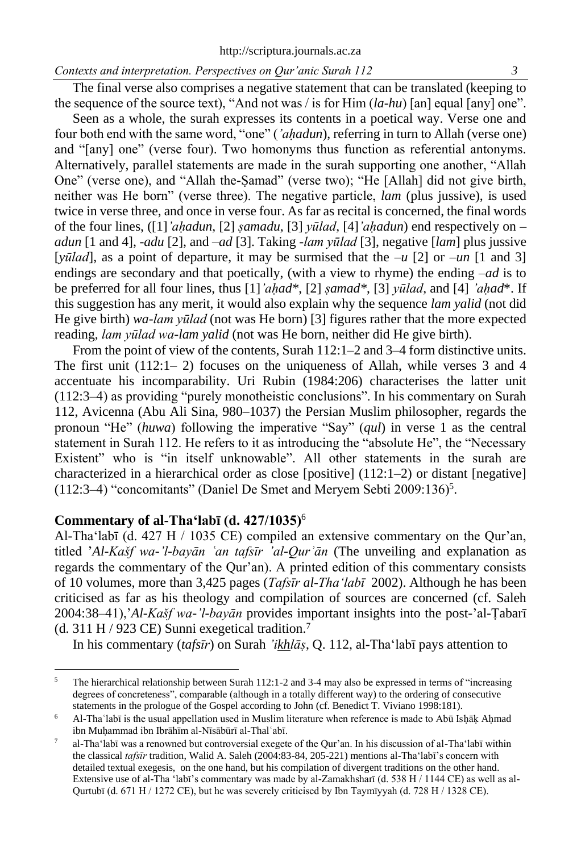The final verse also comprises a negative statement that can be translated (keeping to the sequence of the source text), "And not was / is for Him (*la-hu*) [an] equal [any] one".

Seen as a whole, the surah expresses its contents in a poetical way. Verse one and four both end with the same word, "one" (*'ahadun*), referring in turn to Allah (verse one) and "[any] one" (verse four). Two homonyms thus function as referential antonyms. Alternatively, parallel statements are made in the surah supporting one another, "Allah One" (verse one), and "Allah the-Ṣamad" (verse two); "He [Allah] did not give birth, neither was He born" (verse three). The negative particle, *lam* (plus jussive), is used twice in verse three, and once in verse four. As far as recital is concerned, the final words of the four lines, ([1]*'aḥadun*, [2] *ṣamadu*, [3] *yūlad*, [4]*'aḥadun*) end respectively on – *adun* [1 and 4], -*adu* [2], and –*ad* [3]. Taking *-lam yūlad* [3], negative [*lam*] plus jussive [*yūlad*], as a point of departure, it may be surmised that the  $-\mu$  [2] or  $-\mu$  [1 and 3] endings are secondary and that poetically, (with a view to rhyme) the ending –*ad* is to be preferred for all four lines, thus [1]*'aḥad\**, [2] *ṣamad\**, [3] *yūlad*, and [4] *'aḥad*\*. If this suggestion has any merit, it would also explain why the sequence *lam yalid* (not did He give birth) *wa-lam yūlad* (not was He born) [3] figures rather that the more expected reading, *lam yūlad wa-lam yalid* (not was He born, neither did He give birth).

From the point of view of the contents, Surah 112:1–2 and 3–4 form distinctive units. The first unit  $(112:1-2)$  focuses on the uniqueness of Allah, while verses 3 and 4 accentuate his incomparability. Uri Rubin (1984:206) characterises the latter unit (112:3–4) as providing "purely monotheistic conclusions". In his commentary on Surah 112, Avicenna (Abu Ali Sina, 980–1037) the Persian Muslim philosopher, regards the pronoun "He" (*huwa*) following the imperative "Say" (*qul*) in verse 1 as the central statement in Surah 112. He refers to it as introducing the "absolute He", the "Necessary Existent" who is "in itself unknowable". All other statements in the surah are characterized in a hierarchical order as close [positive] (112:1–2) or distant [negative]  $(112:3-4)$  "concomitants" (Daniel De Smet and Meryem Sebti 2009:136)<sup>5</sup>.

#### **Commentary of al-Tha'labī (d. 427/1035)**<sup>6</sup>

Al-Tha'labī (d. 427 H / 1035 CE) compiled an extensive commentary on the Qur'an, titled '*Al-Kašf wa-'l-bayān ʿan tafsīr 'al-Qurʾān* (The unveiling and explanation as regards the commentary of the Qur'an). A printed edition of this commentary consists of 10 volumes, more than 3,425 pages (*Tafsīr al-Tha'labī* 2002). Although he has been criticised as far as his theology and compilation of sources are concerned (cf. Saleh 2004:38–41),'*Al-Kašf wa-'l-bayān* provides important insights into the post-'al-Ṭabarī (d. 311 H / 923 CE) Sunni exegetical tradition.<sup>7</sup>

In his commentary (*tafsīr*) on Surah *'ikhlāṣ*, Q. 112, al-Tha'labī pays attention to

<sup>&</sup>lt;sup>5</sup> The hierarchical relationship between Surah 112:1-2 and 3-4 may also be expressed in terms of "increasing" degrees of concreteness", comparable (although in a totally different way) to the ordering of consecutive statements in the prologue of the Gospel according to John (cf. Benedict T. Viviano 1998:181).

<sup>6</sup> Al-Thaʿlabī is the usual appellation used in Muslim literature when reference is made to Abū Isḥāḳ Aḥmad ibn Muḥammad ibn Ibrāhīm al-Nīsābūrī al-Thalʿabī.

<sup>7</sup> al-Tha'labī was a renowned but controversial exegete of the Qur'an. In his discussion of al-Tha'labī within the classical *tafsīr* tradition, Walid A. Saleh (2004:83-84, 205-221) mentions al-Tha'labī's concern with detailed textual exegesis, on the one hand, but his compilation of divergent traditions on the other hand. Extensive use of al-Tha 'labī's commentary was made by al-Zamakhsharī (d. 538 H / 1144 CE) as well as al-Qurtubī (d. 671 H / 1272 CE), but he was severely criticised by Ibn Taymīyyah (d. 728 H / 1328 CE).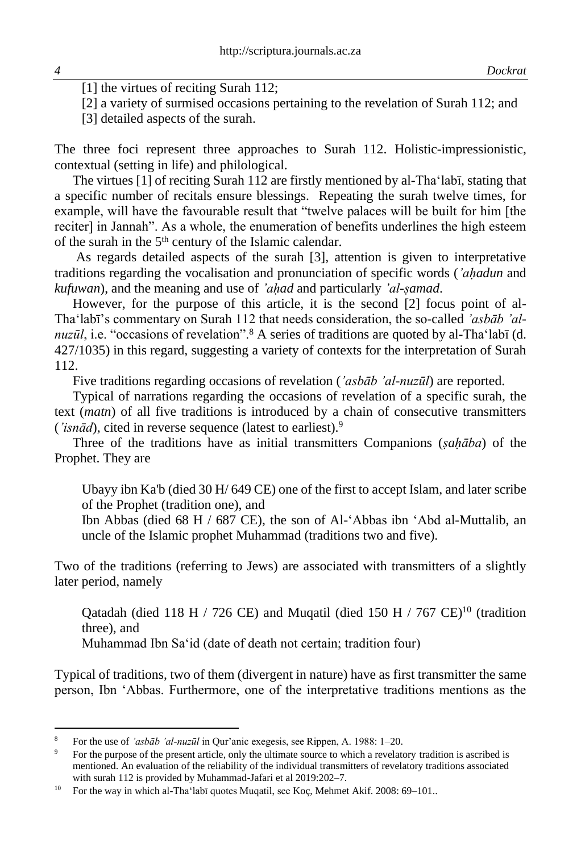[1] the virtues of reciting Surah 112:

[2] a variety of surmised occasions pertaining to the revelation of Surah 112; and

[3] detailed aspects of the surah.

The three foci represent three approaches to Surah 112. Holistic-impressionistic, contextual (setting in life) and philological.

The virtues [1] of reciting Surah 112 are firstly mentioned by al-Tha'labī, stating that a specific number of recitals ensure blessings. Repeating the surah twelve times, for example, will have the favourable result that "twelve palaces will be built for him [the reciter] in Jannah". As a whole, the enumeration of benefits underlines the high esteem of the surah in the  $5<sup>th</sup>$  century of the Islamic calendar.

As regards detailed aspects of the surah [3], attention is given to interpretative traditions regarding the vocalisation and pronunciation of specific words (*'aḥadun* and *kufuwan*), and the meaning and use of *'aḥad* and particularly *'al-ṣamad*.

However, for the purpose of this article, it is the second [2] focus point of al-Tha'labī's commentary on Surah 112 that needs consideration, the so-called *'asbāb 'alnuzūl*, i.e. "occasions of revelation".<sup>8</sup> A series of traditions are quoted by al-Tha'labī (d. 427/1035) in this regard, suggesting a variety of contexts for the interpretation of Surah 112.

Five traditions regarding occasions of revelation (*'asbab 'al-nuzul*) are reported.

Typical of narrations regarding the occasions of revelation of a specific surah, the text (*matn*) of all five traditions is introduced by a chain of consecutive transmitters (*'isnād*), cited in reverse sequence (latest to earliest).<sup>9</sup>

Three of the traditions have as initial transmitters Companions (*ṣaḥāba*) of the Prophet. They are

Ubayy ibn Ka'b (died 30 H/ 649 CE) one of the first to accept Islam, and later scribe of the Prophet (tradition one), and

Ibn Abbas (died 68 H / 687 CE), the son of Al-'Abbas ibn 'Abd al-Muttalib, an uncle of the Islamic prophet Muhammad (traditions two and five).

Two of the traditions (referring to Jews) are associated with transmitters of a slightly later period, namely

Qatadah (died 118 H / 726 CE) and Muqatil (died 150 H / 767 CE)<sup>10</sup> (tradition three), and

Muhammad Ibn Sa'id (date of death not certain; tradition four)

Typical of traditions, two of them (divergent in nature) have as first transmitter the same person, Ibn 'Abbas. Furthermore, one of the interpretative traditions mentions as the

<sup>8</sup> For the use of *'asbāb 'al-nuzūl* in Qur'anic exegesis, see Rippen, A. 1988: 1–20.

<sup>9</sup> For the purpose of the present article, only the ultimate source to which a revelatory tradition is ascribed is mentioned. An evaluation of the reliability of the individual transmitters of revelatory traditions associated with surah 112 is provided by Muhammad-Jafari et al 2019:202–7.

<sup>&</sup>lt;sup>10</sup> For the way in which al-Tha'labī quotes Muqatil, see Koç, Mehmet Akif. 2008: 69–101..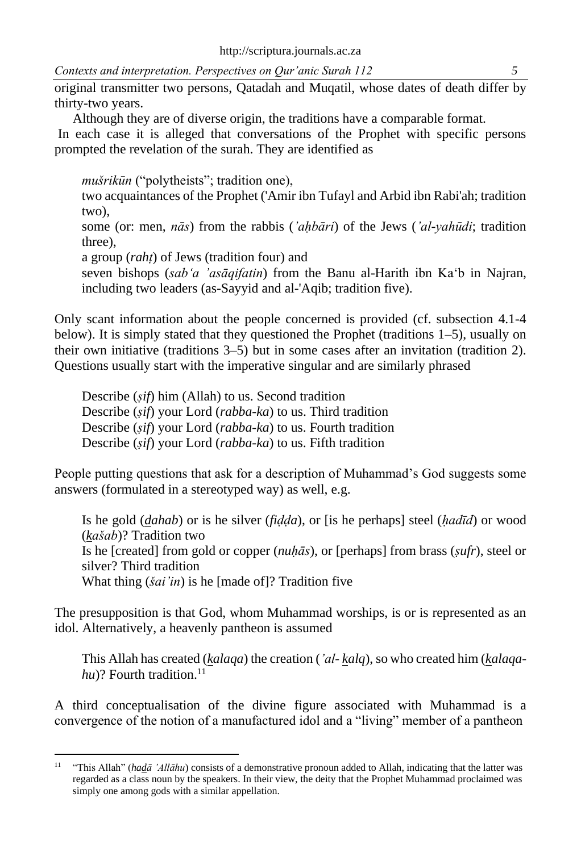original transmitter two persons, Qatadah and Muqatil, whose dates of death differ by thirty-two years.

Although they are of diverse origin, the traditions have a comparable format.

In each case it is alleged that conversations of the Prophet with specific persons prompted the revelation of the surah. They are identified as

*mušrikūn* ("polytheists"; tradition one),

two acquaintances of the Prophet ('Amir ibn Tufayl and Arbid ibn Rabi'ah; tradition two),

some (or: men, *nās*) from the rabbis (*'aḥbāri*) of the Jews (*'al-yahūdi*; tradition three),

a group (*rahṭ*) of Jews (tradition four) and

seven bishops (*sab'a 'asāqifatin*) from the Banu al-Harith ibn Ka'b in Najran, including two leaders (as-Sayyid and al-'Aqib; tradition five).

Only scant information about the people concerned is provided (cf. subsection 4.1-4 below). It is simply stated that they questioned the Prophet (traditions 1–5), usually on their own initiative (traditions 3–5) but in some cases after an invitation (tradition 2). Questions usually start with the imperative singular and are similarly phrased

Describe (*ṣif*) him (Allah) to us. Second tradition Describe (*ṣif*) your Lord (*rabba-ka*) to us. Third tradition Describe (*ṣif*) your Lord (*rabba-ka*) to us. Fourth tradition Describe (*ṣif*) your Lord (*rabba-ka*) to us. Fifth tradition

People putting questions that ask for a description of Muhammad's God suggests some answers (formulated in a stereotyped way) as well, e.g.

Is he gold (*dahab*) or is he silver (*fiḍḍa*), or [is he perhaps] steel (*ḥadīd*) or wood (*kašab*)? Tradition two Is he [created] from gold or copper (*nuḥās*), or [perhaps] from brass (*ṣufr*), steel or silver? Third tradition What thing (*šai'in*) is he [made of]? Tradition five

The presupposition is that God, whom Muhammad worships, is or is represented as an idol. Alternatively, a heavenly pantheon is assumed

This Allah has created (*kalaqa*) the creation (*'al- kalq*), so who created him (*kalaqa* $hu$ ? Fourth tradition.<sup>11</sup>

A third conceptualisation of the divine figure associated with Muhammad is a convergence of the notion of a manufactured idol and a "living" member of a pantheon

<sup>&</sup>lt;sup>11</sup> "This Allah" (*hadā 'Allāhu*) consists of a demonstrative pronoun added to Allah, indicating that the latter was regarded as a class noun by the speakers. In their view, the deity that the Prophet Muhammad proclaimed was simply one among gods with a similar appellation.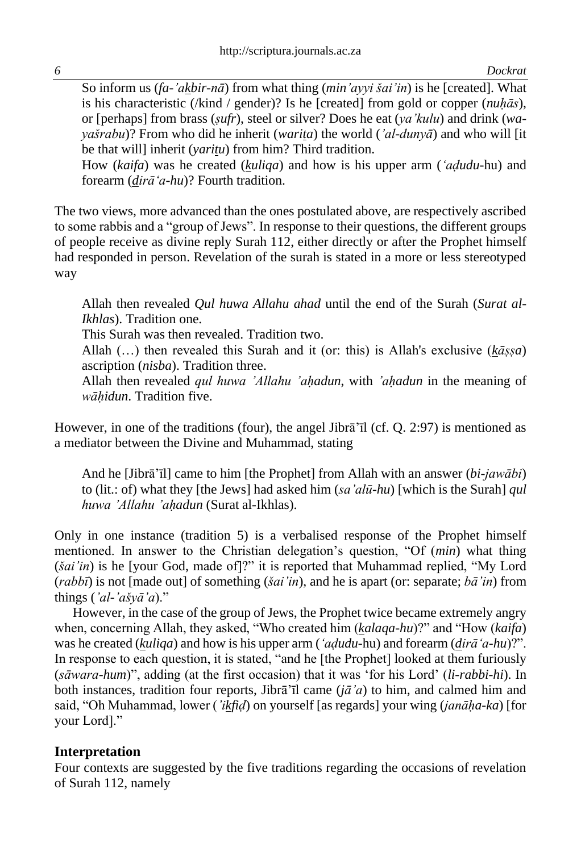So inform us (*fa-'akbir-nā*) from what thing (*min'ayyi šai'in*) is he [created]. What is his characteristic (/kind / gender)? Is he [created] from gold or copper (*nuḥās*), or [perhaps] from brass (*ṣufr*), steel or silver? Does he eat (*ya'kulu*) and drink (*wayašrabu*)? From who did he inherit (*warita*) the world (*'al-dunyā*) and who will [it be that will] inherit (*yaritu*) from him? Third tradition.

How (*kaifa*) was he created (*kuliqa*) and how is his upper arm (*'aḍudu*-hu) and forearm (*dirā'a-hu*)? Fourth tradition.

The two views, more advanced than the ones postulated above, are respectively ascribed to some rabbis and a "group of Jews". In response to their questions, the different groups of people receive as divine reply Surah 112, either directly or after the Prophet himself had responded in person. Revelation of the surah is stated in a more or less stereotyped way

Allah then revealed *Qul huwa Allahu ahad* until the end of the Surah (*Surat al-Ikhlas*). Tradition one.

This Surah was then revealed. Tradition two.

Allah (…) then revealed this Surah and it (or: this) is Allah's exclusive (*kāṣṣa*) ascription (*nisba*). Tradition three.

Allah then revealed *qul huwa 'Allahu 'aḥadun*, with *'aḥadun* in the meaning of *wāḥidun*. Tradition five.

However, in one of the traditions (four), the angel Jibrā'īl (cf. Q. 2:97) is mentioned as a mediator between the Divine and Muhammad, stating

And he [Jibrā'īl] came to him [the Prophet] from Allah with an answer (*bi-jawābi*) to (lit.: of) what they [the Jews] had asked him (*sa'alū-hu*) [which is the Surah] *qul huwa 'Allahu 'aḥadun* (Surat al-Ikhlas).

Only in one instance (tradition 5) is a verbalised response of the Prophet himself mentioned. In answer to the Christian delegation's question, "Of (*min*) what thing (*šai'in*) is he [your God, made of]?" it is reported that Muhammad replied, "My Lord (*rabbī*) is not [made out] of something (*šai'in*), and he is apart (or: separate; *bā'in*) from things (*'al-'ašyā'a*)."

However, in the case of the group of Jews, the Prophet twice became extremely angry when, concerning Allah, they asked, "Who created him (*kalaqa-hu*)?" and "How (*kaifa*) was he created (*kuliqa*) and how is his upper arm (*'aḍudu*-hu) and forearm (*dirā'a-hu*)?". In response to each question, it is stated, "and he [the Prophet] looked at them furiously (*sāwara-hum*)", adding (at the first occasion) that it was 'for his Lord' (*li-rabbi-hi*). In both instances, tradition four reports, Jibrā'īl came (*jā'a*) to him, and calmed him and said, "Oh Muhammad, lower (*'ikfiḍ*) on yourself [as regards] your wing (*janāḥa-ka*) [for your Lord]."

### **Interpretation**

Four contexts are suggested by the five traditions regarding the occasions of revelation of Surah 112, namely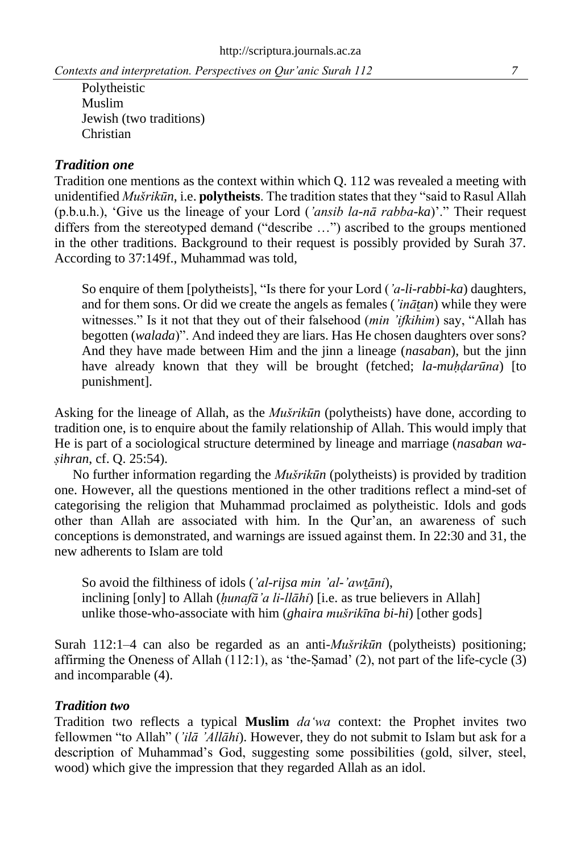Polytheistic Muslim Jewish (two traditions) Christian

### *Tradition one*

Tradition one mentions as the context within which Q. 112 was revealed a meeting with unidentified *Mušrikūn*, i.e. **polytheists**. The tradition states that they "said to Rasul Allah (p.b.u.h.), 'Give us the lineage of your Lord (*'ansib la-nā rabba-ka*)'." Their request differs from the stereotyped demand ("describe …") ascribed to the groups mentioned in the other traditions. Background to their request is possibly provided by Surah 37. According to 37:149f., Muhammad was told,

So enquire of them [polytheists], "Is there for your Lord (*'a-li-rabbi-ka*) daughters, and for them sons. Or did we create the angels as females (*'inātan*) while they were witnesses." Is it not that they out of their falsehood (*min 'ifkihim*) say, "Allah has begotten (*walada*)". And indeed they are liars. Has He chosen daughters over sons? And they have made between Him and the jinn a lineage (*nasaban*), but the jinn have already known that they will be brought (fetched; *la-muhdarūna*) [to punishment].

Asking for the lineage of Allah, as the *Mušrikūn* (polytheists) have done, according to tradition one, is to enquire about the family relationship of Allah. This would imply that He is part of a sociological structure determined by lineage and marriage (*nasaban waṣihran*, cf. Q. 25:54).

No further information regarding the *Mušrikūn* (polytheists) is provided by tradition one. However, all the questions mentioned in the other traditions reflect a mind-set of categorising the religion that Muhammad proclaimed as polytheistic. Idols and gods other than Allah are associated with him. In the Qur'an, an awareness of such conceptions is demonstrated, and warnings are issued against them. In 22:30 and 31, the new adherents to Islam are told

So avoid the filthiness of idols (*'al-rijsa min 'al-'awtāni*), inclining [only] to Allah (*ḥunafā'a li-llāhi*) [i.e. as true believers in Allah] unlike those-who-associate with him (*ghaira mušrikīna bi-hi*) [other gods]

Surah 112:1–4 can also be regarded as an anti-*Mušrikūn* (polytheists) positioning; affirming the Oneness of Allah  $(112:1)$ , as 'the-Samad'  $(2)$ , not part of the life-cycle  $(3)$ and incomparable (4).

### *Tradition two*

Tradition two reflects a typical **Muslim** *da'wa* context: the Prophet invites two fellowmen "to Allah" (*'ilā 'Allāhi*). However, they do not submit to Islam but ask for a description of Muhammad's God, suggesting some possibilities (gold, silver, steel, wood) which give the impression that they regarded Allah as an idol.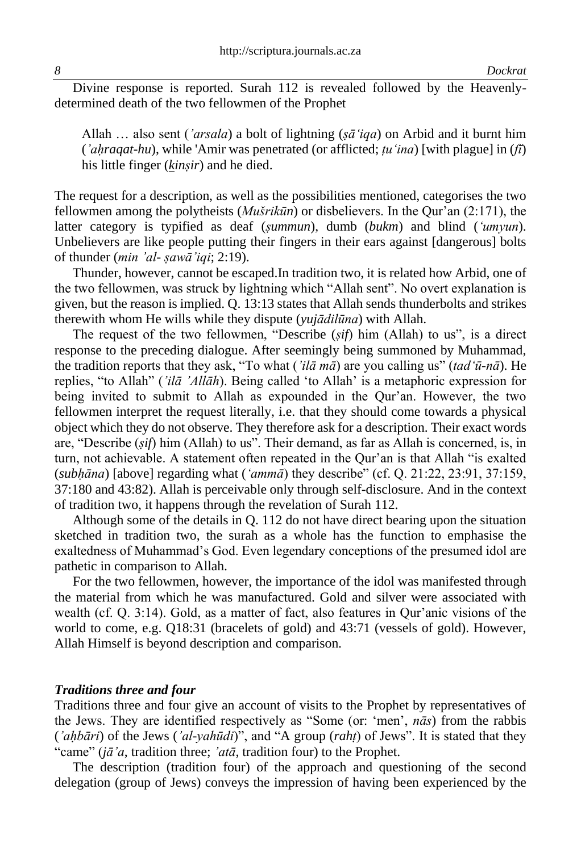Divine response is reported. Surah 112 is revealed followed by the Heavenlydetermined death of the two fellowmen of the Prophet

Allah … also sent (*'arsala*) a bolt of lightning (*ṣā'iqa*) on Arbid and it burnt him (*'aḥraqat-hu*), while 'Amir was penetrated (or afflicted; *ṭu'ina*) [with plague] in (*fī*) his little finger (*kinṣir*) and he died.

The request for a description, as well as the possibilities mentioned, categorises the two fellowmen among the polytheists (*Mušrikūn*) or disbelievers. In the Qur'an (2:171), the latter category is typified as deaf (*ṣummun*), dumb (*bukm*) and blind (*'umyun*). Unbelievers are like people putting their fingers in their ears against [dangerous] bolts of thunder (*min 'al- ṣawā'iqi*; 2:19).

Thunder, however, cannot be escaped.In tradition two, it is related how Arbid, one of the two fellowmen, was struck by lightning which "Allah sent". No overt explanation is given, but the reason is implied. Q. 13:13 states that Allah sends thunderbolts and strikes therewith whom He wills while they dispute (*yujādilūna*) with Allah.

The request of the two fellowmen, "Describe (*ṣif*) him (Allah) to us", is a direct response to the preceding dialogue. After seemingly being summoned by Muhammad, the tradition reports that they ask, "To what (*'ilā mā*) are you calling us" (*tad'ū-nā*). He replies, "to Allah" (*'ilā 'Allāh*). Being called 'to Allah' is a metaphoric expression for being invited to submit to Allah as expounded in the Qur'an. However, the two fellowmen interpret the request literally, i.e. that they should come towards a physical object which they do not observe. They therefore ask for a description. Their exact words are, "Describe (*ṣif*) him (Allah) to us". Their demand, as far as Allah is concerned, is, in turn, not achievable. A statement often repeated in the Qur'an is that Allah "is exalted (*subḥāna*) [above] regarding what (*'ammā*) they describe" (cf. Q. 21:22, 23:91, 37:159, 37:180 and 43:82). Allah is perceivable only through self-disclosure. And in the context of tradition two, it happens through the revelation of Surah 112.

Although some of the details in Q. 112 do not have direct bearing upon the situation sketched in tradition two, the surah as a whole has the function to emphasise the exaltedness of Muhammad's God. Even legendary conceptions of the presumed idol are pathetic in comparison to Allah.

For the two fellowmen, however, the importance of the idol was manifested through the material from which he was manufactured. Gold and silver were associated with wealth (cf. Q. 3:14). Gold, as a matter of fact, also features in Qur'anic visions of the world to come, e.g. Q18:31 (bracelets of gold) and 43:71 (vessels of gold). However, Allah Himself is beyond description and comparison.

#### *Traditions three and four*

Traditions three and four give an account of visits to the Prophet by representatives of the Jews. They are identified respectively as "Some (or: 'men', *nās*) from the rabbis (*'aḥbāri*) of the Jews (*'al-yahūdi*)", and "A group (*rahṭ*) of Jews". It is stated that they "came" (*jā'a*, tradition three; *'atā*, tradition four) to the Prophet.

The description (tradition four) of the approach and questioning of the second delegation (group of Jews) conveys the impression of having been experienced by the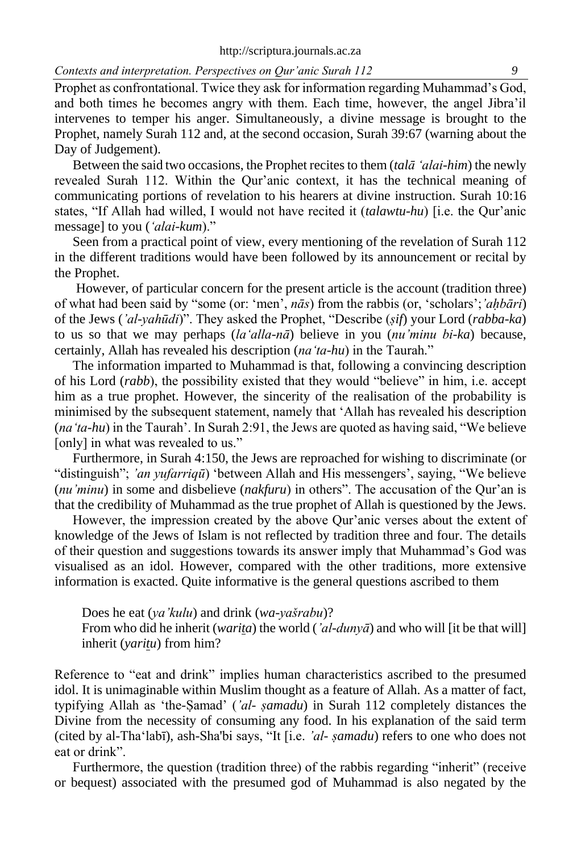Prophet as confrontational. Twice they ask for information regarding Muhammad's God, and both times he becomes angry with them. Each time, however, the angel Jibra'il intervenes to temper his anger. Simultaneously, a divine message is brought to the Prophet, namely Surah 112 and, at the second occasion, Surah 39:67 (warning about the Day of Judgement).

Between the said two occasions, the Prophet recites to them (*talā 'alai-him*) the newly revealed Surah 112. Within the Qur'anic context, it has the technical meaning of communicating portions of revelation to his hearers at divine instruction. Surah 10:16 states, "If Allah had willed, I would not have recited it (*talawtu-hu*) [i.e. the Qur'anic message] to you (*'alai-kum*)."

Seen from a practical point of view, every mentioning of the revelation of Surah 112 in the different traditions would have been followed by its announcement or recital by the Prophet.

However, of particular concern for the present article is the account (tradition three) of what had been said by "some (or: 'men', *nās*) from the rabbis (or, 'scholars';*'aḥbāri*) of the Jews (*'al-yahūdi*)". They asked the Prophet, "Describe (*ṣif*) your Lord (*rabba-ka*) to us so that we may perhaps (*la'alla-nā*) believe in you (*nu'minu bi-ka*) because, certainly, Allah has revealed his description (*na'ta-hu*) in the Taurah."

The information imparted to Muhammad is that, following a convincing description of his Lord (*rabb*), the possibility existed that they would "believe" in him, i.e. accept him as a true prophet. However, the sincerity of the realisation of the probability is minimised by the subsequent statement, namely that 'Allah has revealed his description (*na'ta-hu*) in the Taurah'. In Surah 2:91, the Jews are quoted as having said, "We believe [only] in what was revealed to us."

Furthermore, in Surah 4:150, the Jews are reproached for wishing to discriminate (or "distinguish"; *'an yufarriqū*) 'between Allah and His messengers', saying, "We believe (*nu'minu*) in some and disbelieve (*nakfuru*) in others". The accusation of the Qur'an is that the credibility of Muhammad as the true prophet of Allah is questioned by the Jews.

However, the impression created by the above Qur'anic verses about the extent of knowledge of the Jews of Islam is not reflected by tradition three and four. The details of their question and suggestions towards its answer imply that Muhammad's God was visualised as an idol. However, compared with the other traditions, more extensive information is exacted. Quite informative is the general questions ascribed to them

Does he eat (*ya'kulu*) and drink (*wa-yašrabu*)? From who did he inherit (*warita*) the world (*'al-dunyā*) and who will [it be that will] inherit (*yaritu*) from him?

Reference to "eat and drink" implies human characteristics ascribed to the presumed idol. It is unimaginable within Muslim thought as a feature of Allah. As a matter of fact, typifying Allah as 'the-Ṣamad' (*'al- ṣamadu*) in Surah 112 completely distances the Divine from the necessity of consuming any food. In his explanation of the said term (cited by al-Tha'labī), ash-Sha'bi says, "It [i.e. *'al- ṣamadu*) refers to one who does not eat or drink".

Furthermore, the question (tradition three) of the rabbis regarding "inherit" (receive or bequest) associated with the presumed god of Muhammad is also negated by the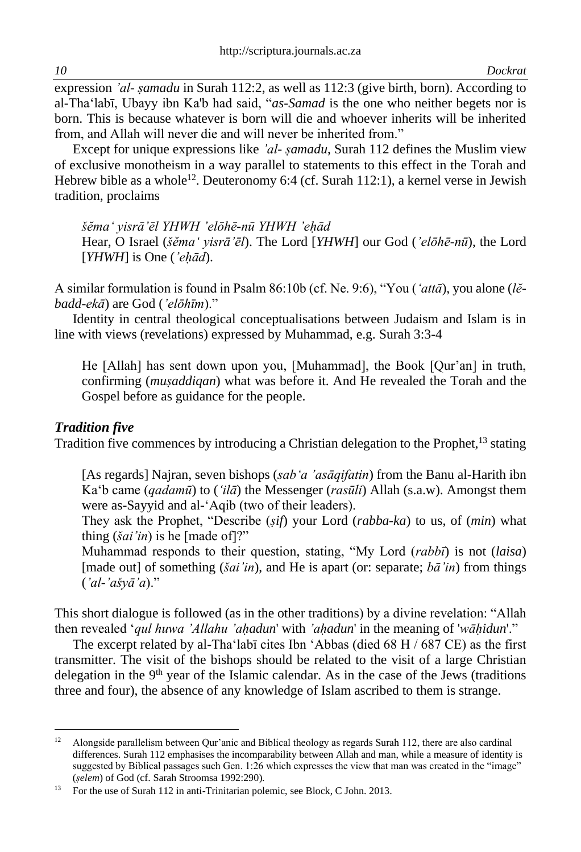expression *'al- samadu* in Surah 112:2, as well as 112:3 (give birth, born). According to al-Tha'labī, Ubayy ibn Ka'b had said, "*as-Samad* is the one who neither begets nor is born. This is because whatever is born will die and whoever inherits will be inherited from, and Allah will never die and will never be inherited from."

Except for unique expressions like *'al- ṣamadu*, Surah 112 defines the Muslim view of exclusive monotheism in a way parallel to statements to this effect in the Torah and Hebrew bible as a whole<sup>12</sup>. Deuteronomy 6:4 (cf. Surah 112:1), a kernel verse in Jewish tradition, proclaims

*šĕma' yisrā'ēl YHWH 'elōhē-nū YHWH 'eḥād*

Hear, O Israel (*šĕma' yisrā'ēl*). The Lord [*YHWH*] our God (*'elōhē-nū*), the Lord [*YHWH*] is One (*'eḥād*).

A similar formulation is found in Psalm 86:10b (cf. Ne. 9:6), "You (*'attā*), you alone (*lĕbadd-ekā*) are God (*'elōhīm*)."

Identity in central theological conceptualisations between Judaism and Islam is in line with views (revelations) expressed by Muhammad, e.g. Surah 3:3-4

He [Allah] has sent down upon you, [Muhammad], the Book [Qur'an] in truth, confirming (*muṣaddiqan*) what was before it. And He revealed the Torah and the Gospel before as guidance for the people.

### *Tradition five*

Tradition five commences by introducing a Christian delegation to the Prophet,  $^{13}$  stating

[As regards] Najran, seven bishops (*sab'a 'asāqifatin*) from the Banu al-Harith ibn Ka'b came (*qadamū*) to (*'ilā*) the Messenger (*rasūli*) Allah (s.a.w). Amongst them were as-Sayyid and al-'Aqib (two of their leaders).

They ask the Prophet, "Describe (*ṣif*) your Lord (*rabba-ka*) to us, of (*min*) what thing (*šai'in*) is he [made of]?"

Muhammad responds to their question, stating, "My Lord (*rabbī*) is not (*laisa*) [made out] of something (*šai'in*), and He is apart (or: separate; *bā'in*) from things (*'al-'ašyā'a*)."

This short dialogue is followed (as in the other traditions) by a divine revelation: "Allah then revealed '*qul huwa 'Allahu 'aḥadun*' with *'aḥadun*' in the meaning of '*wāḥidun*'."

The excerpt related by al-Tha'labī cites Ibn 'Abbas (died 68 H / 687 CE) as the first transmitter. The visit of the bishops should be related to the visit of a large Christian delegation in the  $9<sup>th</sup>$  year of the Islamic calendar. As in the case of the Jews (traditions three and four), the absence of any knowledge of Islam ascribed to them is strange.

<sup>&</sup>lt;sup>12</sup> Alongside parallelism between Qur'anic and Biblical theology as regards Surah 112, there are also cardinal differences. Surah 112 emphasises the incomparability between Allah and man, while a measure of identity is suggested by Biblical passages such Gen. 1:26 which expresses the view that man was created in the "image" (*ṣelem*) of God (cf. Sarah Stroomsa 1992:290).

<sup>&</sup>lt;sup>13</sup> For the use of Surah 112 in anti-Trinitarian polemic, see Block, C John. 2013.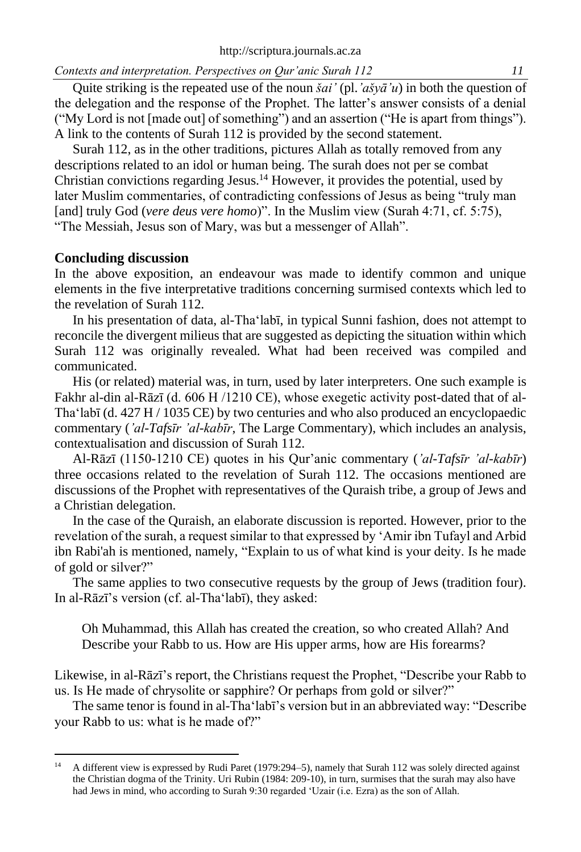Quite striking is the repeated use of the noun *šai'* (pl.*'ašyā'u*) in both the question of the delegation and the response of the Prophet. The latter's answer consists of a denial ("My Lord is not [made out] of something") and an assertion ("He is apart from things"). A link to the contents of Surah 112 is provided by the second statement.

Surah 112, as in the other traditions, pictures Allah as totally removed from any descriptions related to an idol or human being. The surah does not per se combat Christian convictions regarding Jesus.<sup>14</sup> However, it provides the potential, used by later Muslim commentaries, of contradicting confessions of Jesus as being "truly man [and] truly God (*vere deus vere homo*)". In the Muslim view (Surah 4:71, cf. 5:75), "The Messiah, Jesus son of Mary, was but a messenger of Allah".

#### **Concluding discussion**

In the above exposition, an endeavour was made to identify common and unique elements in the five interpretative traditions concerning surmised contexts which led to the revelation of Surah 112.

In his presentation of data, al-Tha'labī, in typical Sunni fashion, does not attempt to reconcile the divergent milieus that are suggested as depicting the situation within which Surah 112 was originally revealed. What had been received was compiled and communicated.

His (or related) material was, in turn, used by later interpreters. One such example is Fakhr al-din al-Rāzī (d. 606 H /1210 CE), whose exegetic activity post-dated that of al-Tha'labī (d. 427 H / 1035 CE) by two centuries and who also produced an encyclopaedic commentary (*'al-Tafsīr 'al-kabīr*, The Large Commentary), which includes an analysis, contextualisation and discussion of Surah 112.

Al-Rāzī (1150-1210 CE) quotes in his Qur'anic commentary (*'al-Tafsīr 'al-kabīr*) three occasions related to the revelation of Surah 112. The occasions mentioned are discussions of the Prophet with representatives of the Quraish tribe, a group of Jews and a Christian delegation.

In the case of the Quraish, an elaborate discussion is reported. However, prior to the revelation of the surah, a request similar to that expressed by 'Amir ibn Tufayl and Arbid ibn Rabi'ah is mentioned, namely, "Explain to us of what kind is your deity. Is he made of gold or silver?"

The same applies to two consecutive requests by the group of Jews (tradition four). In al-Rāzī's version (cf. al-Tha'labī), they asked:

Oh Muhammad, this Allah has created the creation, so who created Allah? And Describe your Rabb to us. How are His upper arms, how are His forearms?

Likewise, in al-Rāzī's report, the Christians request the Prophet, "Describe your Rabb to us. Is He made of chrysolite or sapphire? Or perhaps from gold or silver?"

The same tenor is found in al-Tha'labī's version but in an abbreviated way: "Describe your Rabb to us: what is he made of?"

<sup>&</sup>lt;sup>14</sup> A different view is expressed by Rudi Paret (1979:294–5), namely that Surah 112 was solely directed against the Christian dogma of the Trinity. Uri Rubin (1984: 209-10), in turn, surmises that the surah may also have had Jews in mind, who according to Surah 9:30 regarded 'Uzair (i.e. Ezra) as the son of Allah.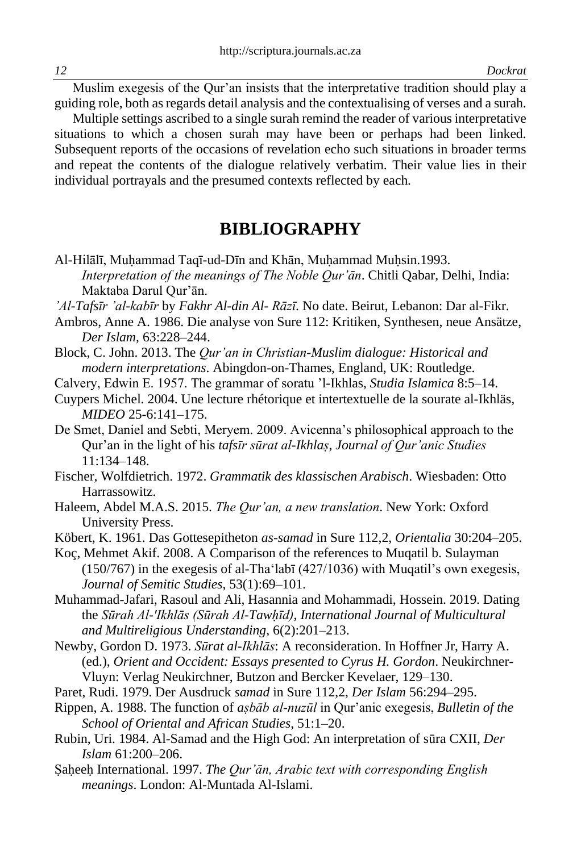Muslim exegesis of the Qur'an insists that the interpretative tradition should play a guiding role, both as regards detail analysis and the contextualising of verses and a surah.

Multiple settings ascribed to a single surah remind the reader of various interpretative situations to which a chosen surah may have been or perhaps had been linked. Subsequent reports of the occasions of revelation echo such situations in broader terms and repeat the contents of the dialogue relatively verbatim. Their value lies in their individual portrayals and the presumed contexts reflected by each.

## **BIBLIOGRAPHY**

- Al-Hilālī, Muhammad Taqī-ud-Dīn and Khān, Muhammad Muhsin.1993. *Interpretation of the meanings of The Noble Qur'ān*. Chitli Qabar, Delhi, India: Maktaba Darul Qur'ān.
- *'Al-Tafsīr 'al-kabīr* by *Fakhr Al-din Al- Rāzī*. No date. Beirut, Lebanon: Dar al-Fikr.
- Ambros, Anne A. 1986. Die analyse von Sure 112: Kritiken, Synthesen, neue Ansätze, *Der Islam,* 63:228–244.
- Block, C. John. 2013. The *Qur'an in Christian-Muslim dialogue: Historical and modern interpretations*. Abingdon-on-Thames, England, UK: Routledge.
- Calvery, Edwin E. 1957. The grammar of soratu 'l-Ikhlas, *Studia Islamica* 8:5–14.

Cuypers Michel. 2004. Une lecture rhétorique et intertextuelle de la sourate al-Ikhläs, *MIDEO* 25-6:141–175.

De Smet, Daniel and Sebti, Meryem. 2009. Avicenna's philosophical approach to the Qur'an in the light of his *tafsīr sūrat al-Ikhlaṣ*, *Journal of Qur'anic Studies* 11:134–148.

- Fischer, Wolfdietrich. 1972. *Grammatik des klassischen Arabisch*. Wiesbaden: Otto Harrassowitz.
- Haleem, Abdel M.A.S. 2015. *The Qur'an, a new translation*. New York: Oxford University Press.
- Köbert, K. 1961. Das Gottesepitheton *as-samad* in Sure 112,2, *Orientalia* 30:204–205.

Koç, Mehmet Akif. 2008. A Comparison of the references to Muqatil b. Sulayman (150/767) in the exegesis of al-Tha'labī (427/1036) with Muqatil's own exegesis, *Journal of Semitic Studies*, 53(1):69–101.

Muhammad-Jafari, Rasoul and Ali, Hasannia and Mohammadi, Hossein. 2019. Dating the *Sūrah Al-'Ikhlās (Sūrah Al-Tawḥīd)*, *International Journal of Multicultural and Multireligious Understanding*, 6(2):201–213.

- Newby, Gordon D. 1973. *Sūrat al-Ikhlās*: A reconsideration. In Hoffner Jr, Harry A. (ed.), *Orient and Occident: Essays presented to Cyrus H. Gordon*. Neukirchner-Vluyn: Verlag Neukirchner, Butzon and Bercker Kevelaer, 129–130.
- Paret, Rudi. 1979. Der Ausdruck *samad* in Sure 112,2, *Der Islam* 56:294–295.
- Rippen, A. 1988. The function of *aṣbāb al-nuzūl* in Qur'anic exegesis, *Bulletin of the School of Oriental and African Studies*, 51:1–20.
- Rubin, Uri. 1984. Al-Samad and the High God: An interpretation of sūra CXII, *Der Islam* 61:200–206.
- Ṣaḥeeḥ International. 1997. *The Qur'ān, Arabic text with corresponding English meanings*. London: Al-Muntada Al-Islami.